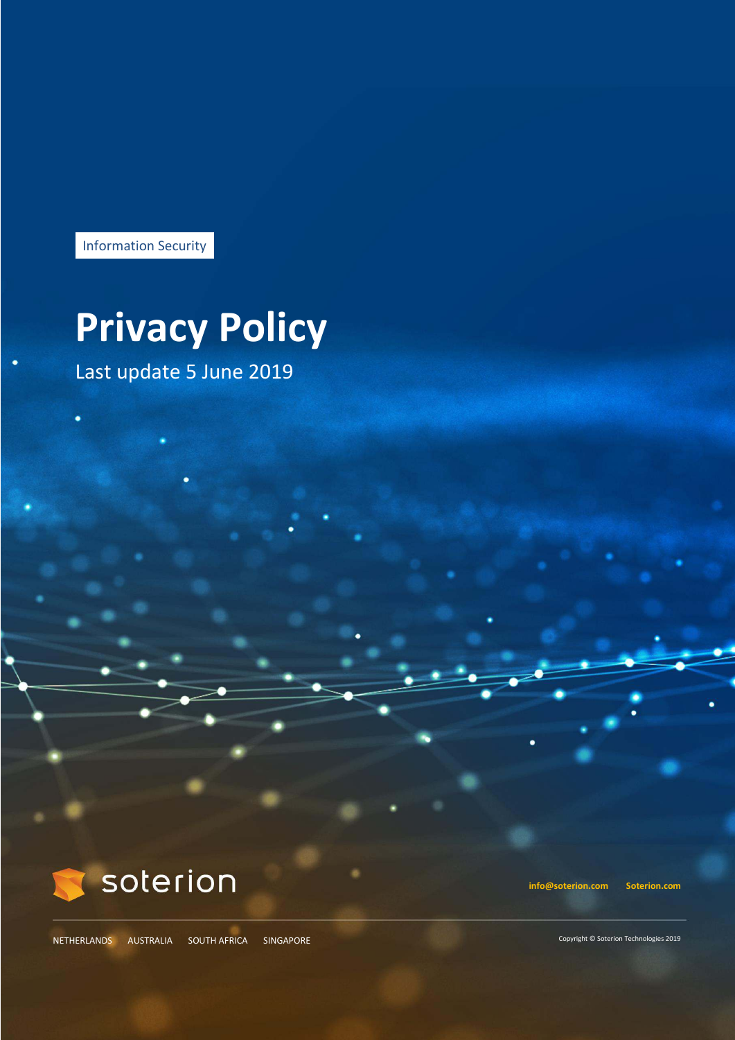Information Security

# **Privacy Policy**

Last update 5 June 2019



NETHERLANDS AUSTRALIA SOUTH AFRICA SINGAPORE Copyright © Soterion Technologies 2019

**[info@soterion.com](mailto:info@soterion.com) Soterion.com**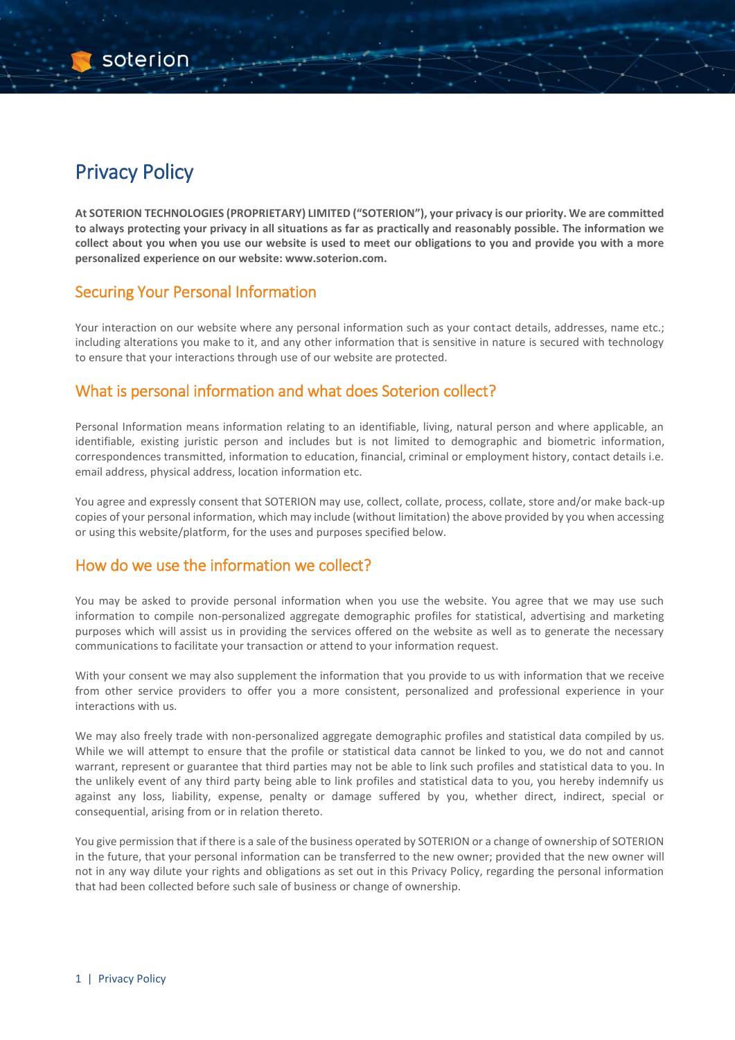soterion

**At SOTERION TECHNOLOGIES (PROPRIETARY) LIMITED ("SOTERION"), your privacy is our priority. We are committed to always protecting your privacy in all situations as far as practically and reasonably possible. The information we collect about you when you use our website is used to meet our obligations to you and provide you with a more personalized experience on our website: www.soterion.com.** 

#### Securing Your Personal Information

Your interaction on our website where any personal information such as your contact details, addresses, name etc.; including alterations you make to it, and any other information that is sensitive in nature is secured with technology to ensure that your interactions through use of our website are protected.

#### What is personal information and what does Soterion collect?

Personal Information means information relating to an identifiable, living, natural person and where applicable, an identifiable, existing juristic person and includes but is not limited to demographic and biometric information, correspondences transmitted, information to education, financial, criminal or employment history, contact details i.e. email address, physical address, location information etc.

You agree and expressly consent that SOTERION may use, collect, collate, process, collate, store and/or make back-up copies of your personal information, which may include (without limitation) the above provided by you when accessing or using this website/platform, for the uses and purposes specified below.

#### How do we use the information we collect?

You may be asked to provide personal information when you use the website. You agree that we may use such information to compile non-personalized aggregate demographic profiles for statistical, advertising and marketing purposes which will assist us in providing the services offered on the website as well as to generate the necessary communications to facilitate your transaction or attend to your information request.

With your consent we may also supplement the information that you provide to us with information that we receive from other service providers to offer you a more consistent, personalized and professional experience in your interactions with us.

We may also freely trade with non-personalized aggregate demographic profiles and statistical data compiled by us. While we will attempt to ensure that the profile or statistical data cannot be linked to you, we do not and cannot warrant, represent or guarantee that third parties may not be able to link such profiles and statistical data to you. In the unlikely event of any third party being able to link profiles and statistical data to you, you hereby indemnify us against any loss, liability, expense, penalty or damage suffered by you, whether direct, indirect, special or consequential, arising from or in relation thereto.

You give permission that if there is a sale of the business operated by SOTERION or a change of ownership of SOTERION in the future, that your personal information can be transferred to the new owner; provided that the new owner will not in any way dilute your rights and obligations as set out in this Privacy Policy, regarding the personal information that had been collected before such sale of business or change of ownership.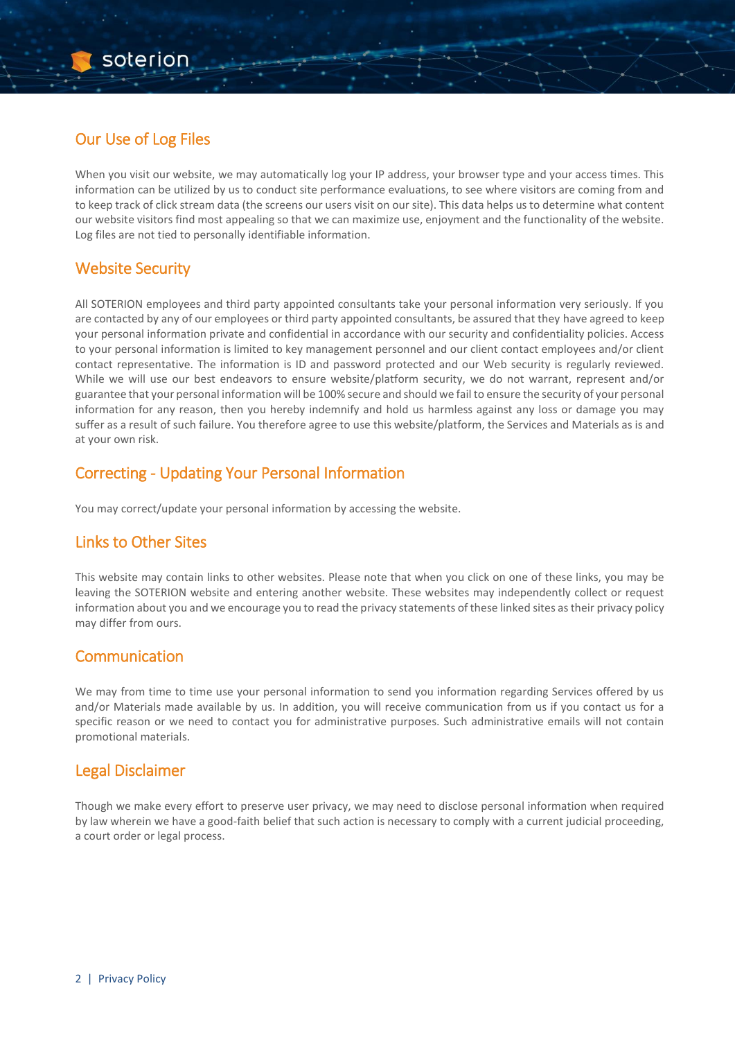## Our Use of Log Files

soterion

When you visit our website, we may automatically log your IP address, your browser type and your access times. This information can be utilized by us to conduct site performance evaluations, to see where visitors are coming from and to keep track of click stream data (the screens our users visit on our site). This data helps us to determine what content our website visitors find most appealing so that we can maximize use, enjoyment and the functionality of the website. Log files are not tied to personally identifiable information.

#### Website Security

All SOTERION employees and third party appointed consultants take your personal information very seriously. If you are contacted by any of our employees or third party appointed consultants, be assured that they have agreed to keep your personal information private and confidential in accordance with our security and confidentiality policies. Access to your personal information is limited to key management personnel and our client contact employees and/or client contact representative. The information is ID and password protected and our Web security is regularly reviewed. While we will use our best endeavors to ensure website/platform security, we do not warrant, represent and/or guarantee that your personal information will be 100% secure and should we fail to ensure the security of your personal information for any reason, then you hereby indemnify and hold us harmless against any loss or damage you may suffer as a result of such failure. You therefore agree to use this website/platform, the Services and Materials as is and at your own risk.

#### Correcting - Updating Your Personal Information

You may correct/update your personal information by accessing the website.

#### Links to Other Sites

This website may contain links to other websites. Please note that when you click on one of these links, you may be leaving the SOTERION website and entering another website. These websites may independently collect or request information about you and we encourage you to read the privacy statements of these linked sites as their privacy policy may differ from ours.

#### Communication

We may from time to time use your personal information to send you information regarding Services offered by us and/or Materials made available by us. In addition, you will receive communication from us if you contact us for a specific reason or we need to contact you for administrative purposes. Such administrative emails will not contain promotional materials.

#### Legal Disclaimer

Though we make every effort to preserve user privacy, we may need to disclose personal information when required by law wherein we have a good-faith belief that such action is necessary to comply with a current judicial proceeding, a court order or legal process.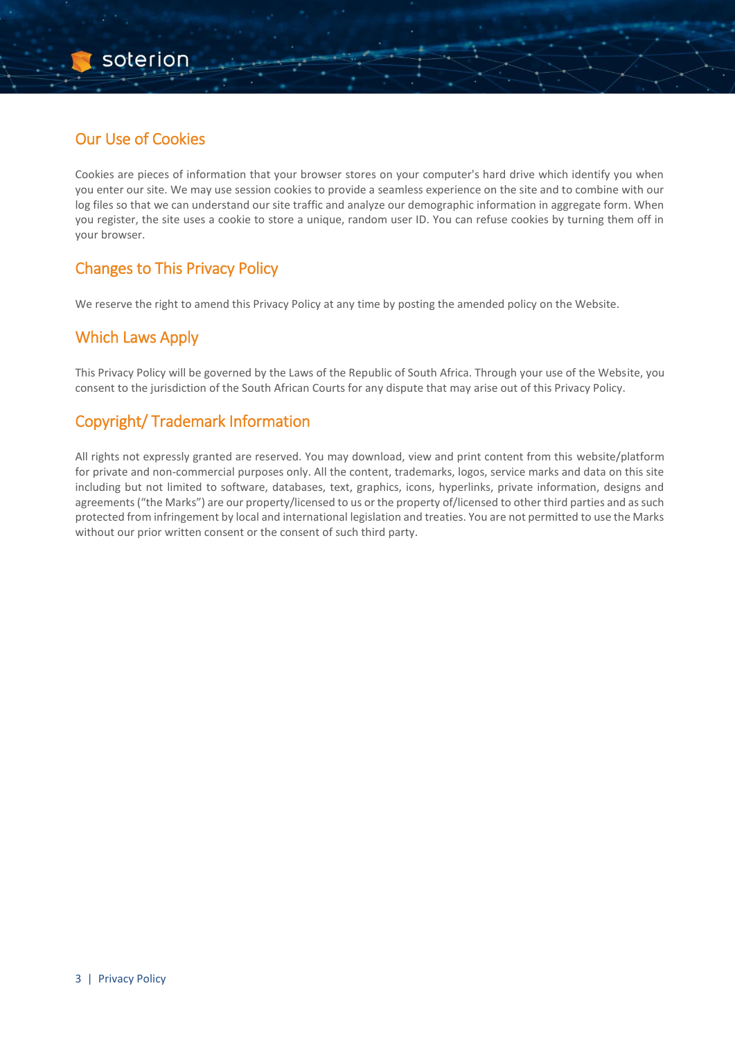## Our Use of Cookies

soterion

Cookies are pieces of information that your browser stores on your computer's hard drive which identify you when you enter our site. We may use session cookies to provide a seamless experience on the site and to combine with our log files so that we can understand our site traffic and analyze our demographic information in aggregate form. When you register, the site uses a cookie to store a unique, random user ID. You can refuse cookies by turning them off in your browser.

## Changes to This Privacy Policy

We reserve the right to amend this Privacy Policy at any time by posting the amended policy on the Website.

## Which Laws Apply

This Privacy Policy will be governed by the Laws of the Republic of South Africa. Through your use of the Website, you consent to the jurisdiction of the South African Courts for any dispute that may arise out of this Privacy Policy.

## Copyright/ Trademark Information

All rights not expressly granted are reserved. You may download, view and print content from this website/platform for private and non-commercial purposes only. All the content, trademarks, logos, service marks and data on this site including but not limited to software, databases, text, graphics, icons, hyperlinks, private information, designs and agreements ("the Marks") are our property/licensed to us or the property of/licensed to other third parties and as such protected from infringement by local and international legislation and treaties. You are not permitted to use the Marks without our prior written consent or the consent of such third party.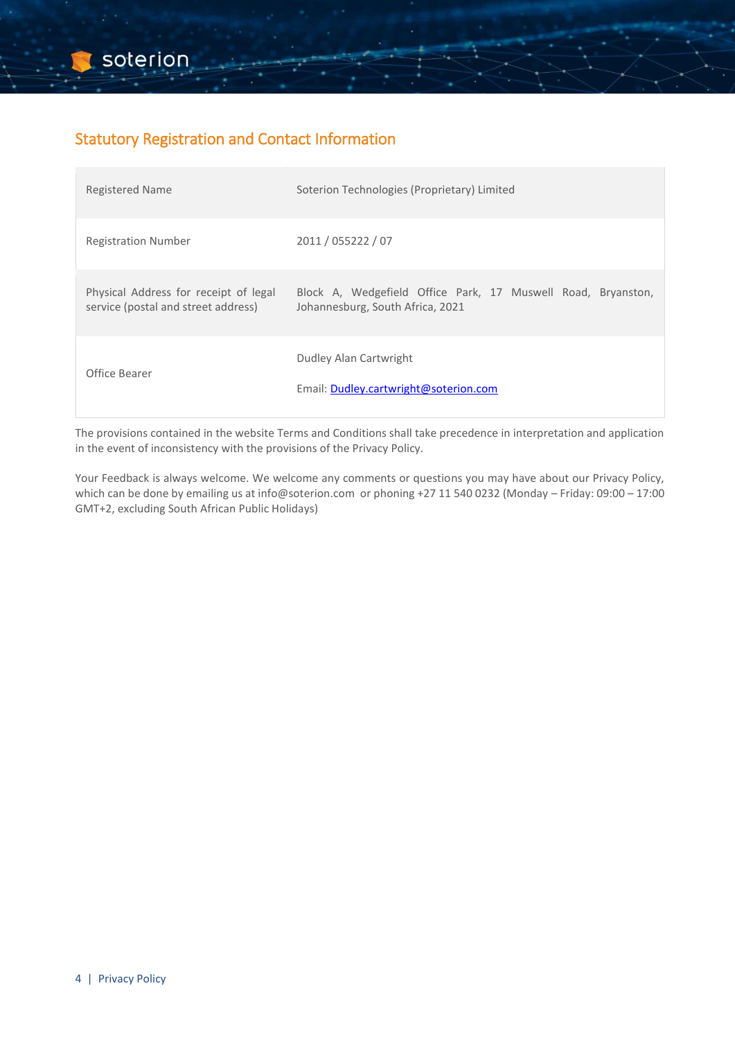## Statutory Registration and Contact Information

| <b>Registered Name</b>                                                       | Soterion Technologies (Proprietary) Limited                                                      |
|------------------------------------------------------------------------------|--------------------------------------------------------------------------------------------------|
| <b>Registration Number</b>                                                   | 2011 / 055222 / 07                                                                               |
| Physical Address for receipt of legal<br>service (postal and street address) | Block A, Wedgefield Office Park, 17 Muswell Road, Bryanston,<br>Johannesburg, South Africa, 2021 |
| Office Bearer                                                                | Dudley Alan Cartwright<br>Email: Dudley.cartwright@soterion.com                                  |

The provisions contained in the website Terms and Conditions shall take precedence in interpretation and application in the event of inconsistency with the provisions of the Privacy Policy.

Your Feedback is always welcome. We welcome any comments or questions you may have about our Privacy Policy, which can be done by emailing us at info@soterion.com or phoning +27 11 540 0232 (Monday – Friday: 09:00 – 17:00 GMT+2, excluding South African Public Holidays)